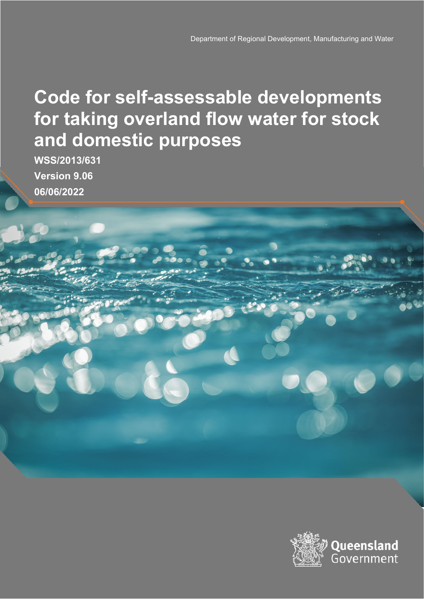# **Code for self-assessable developments for taking overland flow water for stock and domestic purposes**

**WSS/2013/631 Version 9.06 06/06/2022**

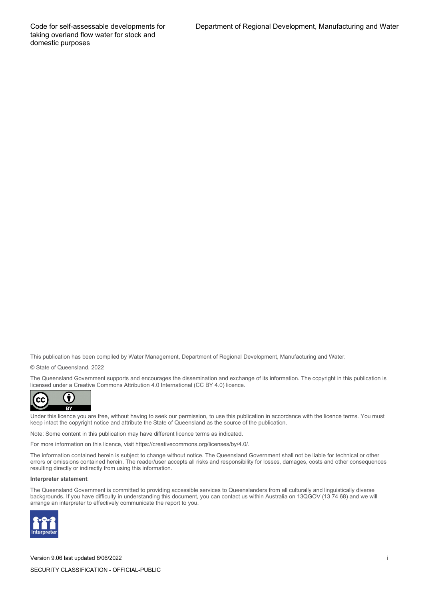Code for self-assessable developments for taking overland flow water for stock and domestic purposes

This publication has been compiled by Water Management, Department of Regional Development, Manufacturing and Water.

© State of Queensland, 2022

The Queensland Government supports and encourages the dissemination and exchange of its information. The copyright in this publication is licensed under a Creative Commons Attribution 4.0 International (CC BY 4.0) licence.



Under this licence you are free, without having to seek our permission, to use this publication in accordance with the licence terms. You must keep intact the copyright notice and attribute the State of Queensland as the source of the publication.

Note: Some content in this publication may have different licence terms as indicated.

For more information on this licence, visit https://creativecommons.org/licenses/by/4.0/.

The information contained herein is subject to change without notice. The Queensland Government shall not be liable for technical or other errors or omissions contained herein. The reader/user accepts all risks and responsibility for losses, damages, costs and other consequences resulting directly or indirectly from using this information.

#### **Interpreter statement**:

The Queensland Government is committed to providing accessible services to Queenslanders from all culturally and linguistically diverse backgrounds. If you have difficulty in understanding this document, you can contact us within Australia on 13QGOV (13 74 68) and we will arrange an interpreter to effectively communicate the report to you.



Version 9.06 last updated 6/06/2022 i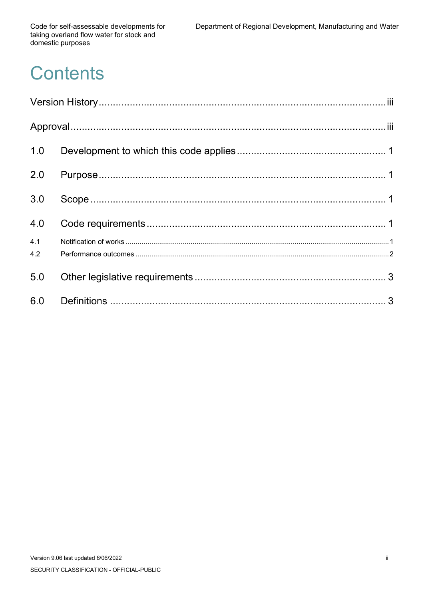Code for self-assessable developments for taking overland flow water for stock and domestic purposes

# **Contents**

| 1.0 |  |  |  |
|-----|--|--|--|
| 2.0 |  |  |  |
| 3.0 |  |  |  |
| 4.0 |  |  |  |
| 4.1 |  |  |  |
| 4.2 |  |  |  |
| 5.0 |  |  |  |
| 6.0 |  |  |  |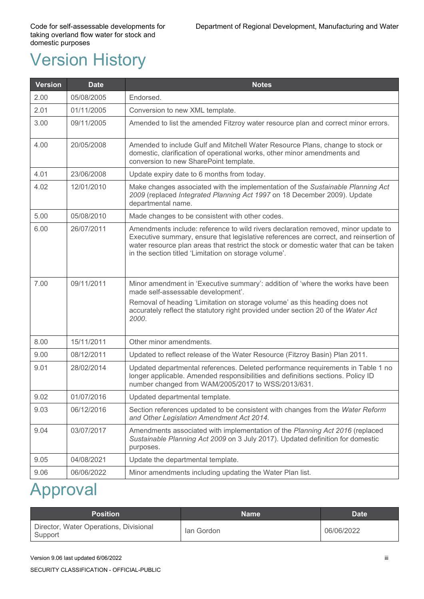# <span id="page-3-0"></span>Version History

| <b>Version</b> | <b>Date</b> | <b>Notes</b>                                                                                                                                                                                                                                                                                                                 |
|----------------|-------------|------------------------------------------------------------------------------------------------------------------------------------------------------------------------------------------------------------------------------------------------------------------------------------------------------------------------------|
| 2.00           | 05/08/2005  | Endorsed.                                                                                                                                                                                                                                                                                                                    |
| 2.01           | 01/11/2005  | Conversion to new XML template.                                                                                                                                                                                                                                                                                              |
| 3.00           | 09/11/2005  | Amended to list the amended Fitzroy water resource plan and correct minor errors.                                                                                                                                                                                                                                            |
| 4.00           | 20/05/2008  | Amended to include Gulf and Mitchell Water Resource Plans, change to stock or<br>domestic, clarification of operational works, other minor amendments and<br>conversion to new SharePoint template.                                                                                                                          |
| 4.01           | 23/06/2008  | Update expiry date to 6 months from today.                                                                                                                                                                                                                                                                                   |
| 4.02           | 12/01/2010  | Make changes associated with the implementation of the Sustainable Planning Act<br>2009 (replaced Integrated Planning Act 1997 on 18 December 2009). Update<br>departmental name.                                                                                                                                            |
| 5.00           | 05/08/2010  | Made changes to be consistent with other codes.                                                                                                                                                                                                                                                                              |
| 6.00           | 26/07/2011  | Amendments include: reference to wild rivers declaration removed, minor update to<br>Executive summary, ensure that legislative references are correct, and reinsertion of<br>water resource plan areas that restrict the stock or domestic water that can be taken<br>in the section titled 'Limitation on storage volume'. |
| 7.00           | 09/11/2011  | Minor amendment in 'Executive summary': addition of 'where the works have been<br>made self-assessable development'.<br>Removal of heading 'Limitation on storage volume' as this heading does not                                                                                                                           |
|                |             | accurately reflect the statutory right provided under section 20 of the Water Act<br>2000.                                                                                                                                                                                                                                   |
| 8.00           | 15/11/2011  | Other minor amendments.                                                                                                                                                                                                                                                                                                      |
| 9.00           | 08/12/2011  | Updated to reflect release of the Water Resource (Fitzroy Basin) Plan 2011.                                                                                                                                                                                                                                                  |
| 9.01           | 28/02/2014  | Updated departmental references. Deleted performance requirements in Table 1 no<br>longer applicable. Amended responsibilities and definitions sections. Policy ID<br>number changed from WAM/2005/2017 to WSS/2013/631.                                                                                                     |
| 9.02           | 01/07/2016  | Updated departmental template                                                                                                                                                                                                                                                                                                |
| 9.03           | 06/12/2016  | Section references updated to be consistent with changes from the Water Reform<br>and Other Legislation Amendment Act 2014.                                                                                                                                                                                                  |
| 9.04           | 03/07/2017  | Amendments associated with implementation of the Planning Act 2016 (replaced<br>Sustainable Planning Act 2009 on 3 July 2017). Updated definition for domestic<br>purposes.                                                                                                                                                  |
| 9.05           | 04/08/2021  | Update the departmental template.                                                                                                                                                                                                                                                                                            |
| 9.06           | 06/06/2022  | Minor amendments including updating the Water Plan list.                                                                                                                                                                                                                                                                     |

## <span id="page-3-1"></span>Approval

| <b>Position</b>                                   | <b>Name</b> | <b>Date</b> |
|---------------------------------------------------|-------------|-------------|
| Director, Water Operations, Divisional<br>Support | lan Gordon  | 06/06/2022  |

Version 9.06 last updated 6/06/2022 iiii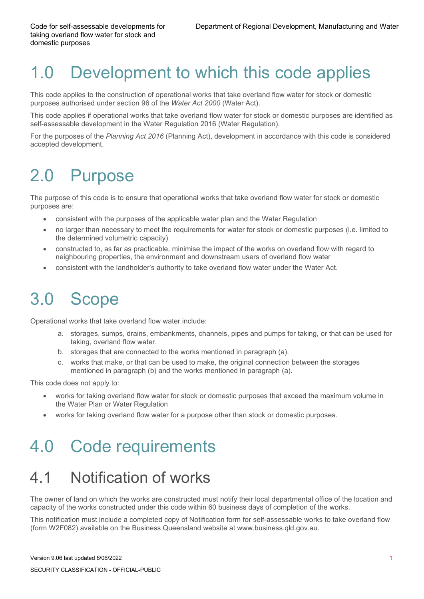# <span id="page-4-0"></span>1.0 Development to which this code applies

This code applies to the construction of operational works that take overland flow water for stock or domestic purposes authorised under section 96 of the *Water Act 2000* (Water Act).

This code applies if operational works that take overland flow water for stock or domestic purposes are identified as self-assessable development in the Water Regulation 2016 (Water Regulation).

For the purposes of the *Planning Act 2016* (Planning Act), development in accordance with this code is considered accepted development.

# <span id="page-4-1"></span>2.0 Purpose

The purpose of this code is to ensure that operational works that take overland flow water for stock or domestic purposes are:

- consistent with the purposes of the applicable water plan and the Water Regulation
- no larger than necessary to meet the requirements for water for stock or domestic purposes (i.e. limited to the determined volumetric capacity)
- constructed to, as far as practicable, minimise the impact of the works on overland flow with regard to neighbouring properties, the environment and downstream users of overland flow water
- consistent with the landholder's authority to take overland flow water under the Water Act.

# <span id="page-4-2"></span>3.0 Scope

Operational works that take overland flow water include:

- a. storages, sumps, drains, embankments, channels, pipes and pumps for taking, or that can be used for taking, overland flow water.
- b. storages that are connected to the works mentioned in paragraph (a).
- c. works that make, or that can be used to make, the original connection between the storages mentioned in paragraph (b) and the works mentioned in paragraph (a).

This code does not apply to:

- works for taking overland flow water for stock or domestic purposes that exceed the maximum volume in the Water Plan or Water Regulation
- works for taking overland flow water for a purpose other than stock or domestic purposes.

### <span id="page-4-3"></span>4.0 Code requirements

#### <span id="page-4-4"></span>4.1 Notification of works

The owner of land on which the works are constructed must notify their local departmental office of the location and capacity of the works constructed under this code within 60 business days of completion of the works.

This notification must include a completed copy of Notification form for self-assessable works to take overland flow (form W2F082) available on the Business Queensland website at [www.business.qld.gov.au.](http://www.business.qld.gov.au/)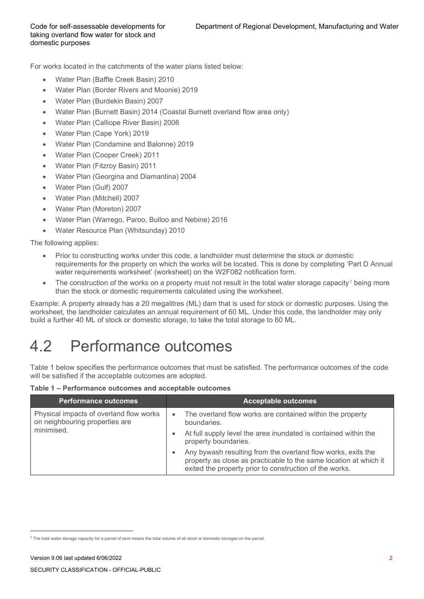For works located in the catchments of the water plans listed below:

- Water Plan (Baffle Creek Basin) 2010
- Water Plan (Border Rivers and Moonie) 2019
- Water Plan (Burdekin Basin) 2007
- Water Plan (Burnett Basin) 2014 (Coastal Burnett overland flow area only)
- Water Plan (Calliope River Basin) 2006
- Water Plan (Cape York) 2019
- Water Plan (Condamine and Balonne) 2019
- Water Plan (Cooper Creek) 2011
- Water Plan (Fitzroy Basin) 2011
- Water Plan (Georgina and Diamantina) 2004
- Water Plan (Gulf) 2007
- Water Plan (Mitchell) 2007
- Water Plan (Moreton) 2007
- Water Plan (Warrego, Paroo, Bulloo and Nebine) 2016
- Water Resource Plan (Whitsunday) 2010

The following applies:

- Prior to constructing works under this code, a landholder must determine the stock or domestic requirements for the property on which the works will be located. This is done by completing 'Part D Annual water requirements worksheet' (worksheet) on the W2F082 notification form.
- The construction of the works on a property must not result in the total water storage capacity<sup>[1](#page-5-1)</sup> being more than the stock or domestic requirements calculated using the worksheet.

Example: A property already has a 20 megalitres (ML) dam that is used for stock or domestic purposes. Using the worksheet, the landholder calculates an annual requirement of 60 ML. Under this code, the landholder may only build a further 40 ML of stock or domestic storage, to take the total storage to 60 ML.

#### <span id="page-5-0"></span>4.2 Performance outcomes

Table 1 below specifies the performance outcomes that must be satisfied. The performance outcomes of the code will be satisfied if the acceptable outcomes are adopted.

**Table 1 – Performance outcomes and acceptable outcomes**

| <b>Performance outcomes</b>                                               | <b>Acceptable outcomes</b>                                                                                                                                                                   |
|---------------------------------------------------------------------------|----------------------------------------------------------------------------------------------------------------------------------------------------------------------------------------------|
| Physical impacts of overland flow works<br>on neighbouring properties are | The overland flow works are contained within the property<br>$\bullet$<br>boundaries.                                                                                                        |
| minimised.                                                                | At full supply level the area inundated is contained within the<br>٠<br>property boundaries.                                                                                                 |
|                                                                           | Any bywash resulting from the overland flow works, exits the<br>property as close as practicable to the same location at which it<br>exited the property prior to construction of the works. |

<span id="page-5-1"></span><sup>1</sup> The total water storage capacity for a parcel of land means the total volume of all stock or domestic storages on the parcel.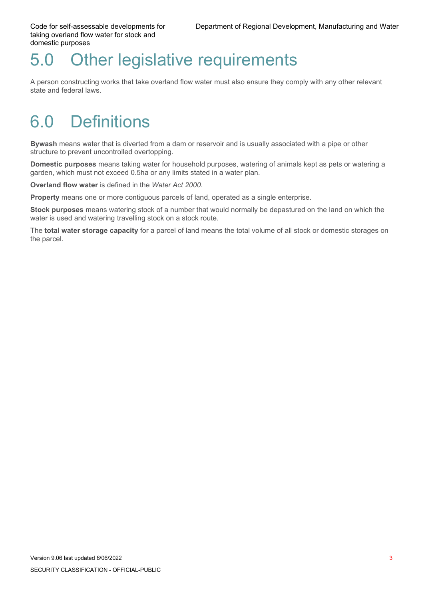Code for self-assessable developments for taking overland flow water for stock and domestic purposes

#### <span id="page-6-0"></span>5.0 Other legislative requirements

A person constructing works that take overland flow water must also ensure they comply with any other relevant state and federal laws.

## <span id="page-6-1"></span>6.0 Definitions

**Bywash** means water that is diverted from a dam or reservoir and is usually associated with a pipe or other structure to prevent uncontrolled overtopping.

**Domestic purposes** means taking water for household purposes, watering of animals kept as pets or watering a garden, which must not exceed 0.5ha or any limits stated in a water plan.

**Overland flow water** is defined in the *Water Act 2000*.

**Property** means one or more contiguous parcels of land, operated as a single enterprise.

**Stock purposes** means watering stock of a number that would normally be depastured on the land on which the water is used and watering travelling stock on a stock route.

The **total water storage capacity** for a parcel of land means the total volume of all stock or domestic storages on the parcel.